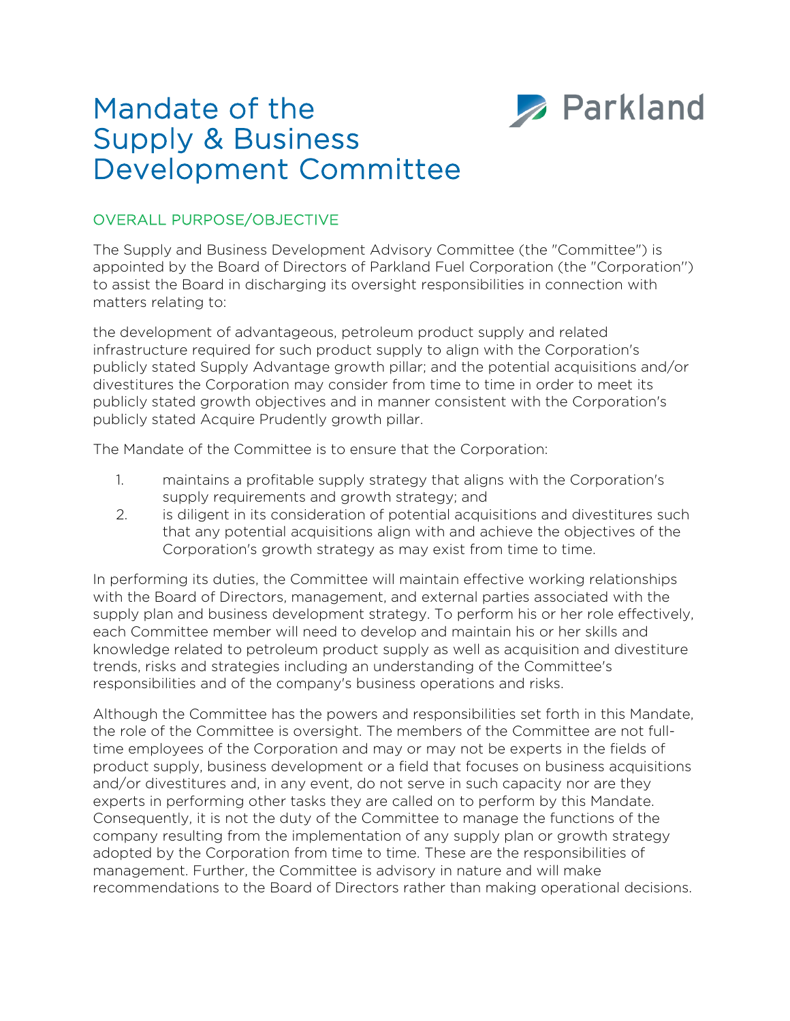

# Mandate of the Supply & Business Development Committee

## OVERALL PURPOSE/OBJECTIVE

The Supply and Business Development Advisory Committee (the "Committee") is appointed by the Board of Directors of Parkland Fuel Corporation (the "Corporation'') to assist the Board in discharging its oversight responsibilities in connection with matters relating to:

the development of advantageous, petroleum product supply and related infrastructure required for such product supply to align with the Corporation's publicly stated Supply Advantage growth pillar; and the potential acquisitions and/or divestitures the Corporation may consider from time to time in order to meet its publicly stated growth objectives and in manner consistent with the Corporation's publicly stated Acquire Prudently growth pillar.

The Mandate of the Committee is to ensure that the Corporation:

- 1. maintains a profitable supply strategy that aligns with the Corporation's supply requirements and growth strategy; and
- 2. is diligent in its consideration of potential acquisitions and divestitures such that any potential acquisitions align with and achieve the objectives of the Corporation's growth strategy as may exist from time to time.

In performing its duties, the Committee will maintain effective working relationships with the Board of Directors, management, and external parties associated with the supply plan and business development strategy. To perform his or her role effectively, each Committee member will need to develop and maintain his or her skills and knowledge related to petroleum product supply as well as acquisition and divestiture trends, risks and strategies including an understanding of the Committee's responsibilities and of the company's business operations and risks.

Although the Committee has the powers and responsibilities set forth in this Mandate, the role of the Committee is oversight. The members of the Committee are not fulltime employees of the Corporation and may or may not be experts in the fields of product supply, business development or a field that focuses on business acquisitions and/or divestitures and, in any event, do not serve in such capacity nor are they experts in performing other tasks they are called on to perform by this Mandate. Consequently, it is not the duty of the Committee to manage the functions of the company resulting from the implementation of any supply plan or growth strategy adopted by the Corporation from time to time. These are the responsibilities of management. Further, the Committee is advisory in nature and will make recommendations to the Board of Directors rather than making operational decisions.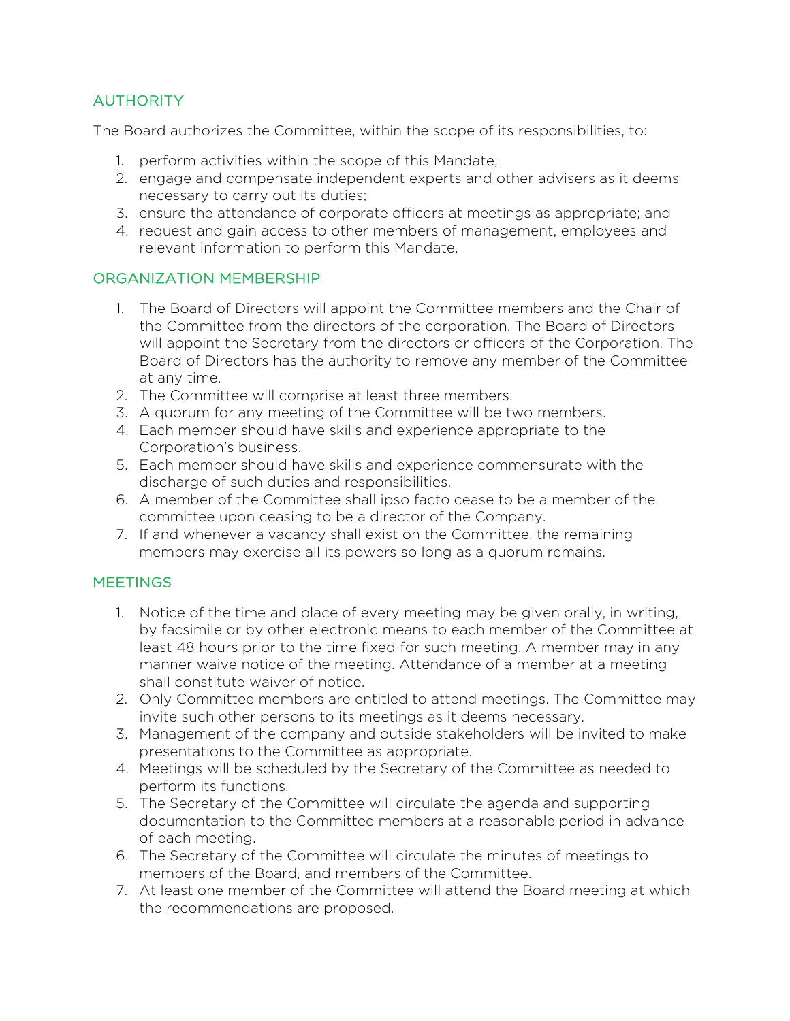# **AUTHORITY**

The Board authorizes the Committee, within the scope of its responsibilities, to:

- 1. perform activities within the scope of this Mandate;
- 2. engage and compensate independent experts and other advisers as it deems necessary to carry out its duties;
- 3. ensure the attendance of corporate officers at meetings as appropriate; and
- 4. request and gain access to other members of management, employees and relevant information to perform this Mandate.

## ORGANIZATION MEMBERSHIP

- 1. The Board of Directors will appoint the Committee members and the Chair of the Committee from the directors of the corporation. The Board of Directors will appoint the Secretary from the directors or officers of the Corporation. The Board of Directors has the authority to remove any member of the Committee at any time.
- 2. The Committee will comprise at least three members.
- 3. A quorum for any meeting of the Committee will be two members.
- 4. Each member should have skills and experience appropriate to the Corporation's business.
- 5. Each member should have skills and experience commensurate with the discharge of such duties and responsibilities.
- 6. A member of the Committee shall ipso facto cease to be a member of the committee upon ceasing to be a director of the Company.
- 7. If and whenever a vacancy shall exist on the Committee, the remaining members may exercise all its powers so long as a quorum remains.

#### **MEETINGS**

- 1. Notice of the time and place of every meeting may be given orally, in writing, by facsimile or by other electronic means to each member of the Committee at least 48 hours prior to the time fixed for such meeting. A member may in any manner waive notice of the meeting. Attendance of a member at a meeting shall constitute waiver of notice.
- 2. Only Committee members are entitled to attend meetings. The Committee may invite such other persons to its meetings as it deems necessary.
- 3. Management of the company and outside stakeholders will be invited to make presentations to the Committee as appropriate.
- 4. Meetings will be scheduled by the Secretary of the Committee as needed to perform its functions.
- 5. The Secretary of the Committee will circulate the agenda and supporting documentation to the Committee members at a reasonable period in advance of each meeting.
- 6. The Secretary of the Committee will circulate the minutes of meetings to members of the Board, and members of the Committee.
- 7. At least one member of the Committee will attend the Board meeting at which the recommendations are proposed.